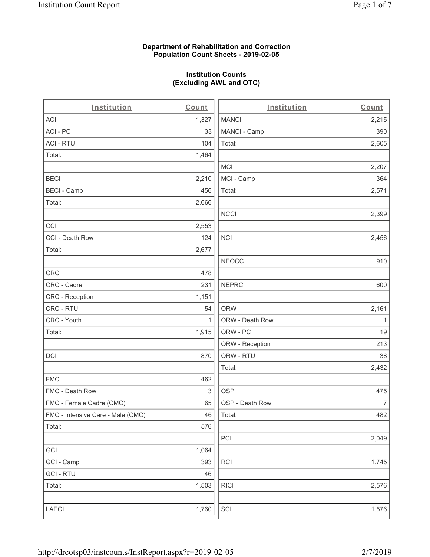# **Department of Rehabilitation and Correction Population Count Sheets - 2019-02-05**

# **Institution Counts (Excluding AWL and OTC)**

. .

| Institution                       | Count        | Institution     | Count        |
|-----------------------------------|--------------|-----------------|--------------|
| ACI                               | 1,327        | <b>MANCI</b>    | 2,215        |
| ACI-PC                            | 33           | MANCI - Camp    | 390          |
| <b>ACI - RTU</b>                  | 104          | Total:          | 2,605        |
| Total:                            | 1,464        |                 |              |
|                                   |              | <b>MCI</b>      | 2,207        |
| <b>BECI</b>                       | 2,210        | MCI - Camp      | 364          |
| <b>BECI - Camp</b>                | 456          | Total:          | 2,571        |
| Total:                            | 2,666        |                 |              |
|                                   |              | <b>NCCI</b>     | 2,399        |
| CCI                               | 2,553        |                 |              |
| CCI - Death Row                   | 124          | <b>NCI</b>      | 2,456        |
| Total:                            | 2,677        |                 |              |
|                                   |              | <b>NEOCC</b>    | 910          |
| <b>CRC</b>                        | 478          |                 |              |
| CRC - Cadre                       | 231          | <b>NEPRC</b>    | 600          |
| CRC - Reception                   | 1,151        |                 |              |
| CRC - RTU                         | 54           | <b>ORW</b>      | 2,161        |
| CRC - Youth                       | $\mathbf{1}$ | ORW - Death Row | $\mathbf{1}$ |
| Total:                            | 1,915        | ORW - PC        | 19           |
|                                   |              | ORW - Reception | 213          |
| DCI                               | 870          | ORW - RTU       | 38           |
|                                   |              | Total:          | 2,432        |
| <b>FMC</b>                        | 462          |                 |              |
| FMC - Death Row                   | 3            | <b>OSP</b>      | 475          |
| FMC - Female Cadre (CMC)          | 65           | OSP - Death Row | 7            |
| FMC - Intensive Care - Male (CMC) | 46           | Total:          | 482          |
| Total:                            | 576          |                 |              |
|                                   |              | PCI             | 2,049        |
| GCI                               | 1,064        |                 |              |
| GCI - Camp                        | 393          | RCI             | 1,745        |
| <b>GCI - RTU</b>                  | 46           |                 |              |
| Total:                            | 1,503        | <b>RICI</b>     | 2,576        |
|                                   |              |                 |              |
| LAECI                             | 1,760        | SCI             | 1,576        |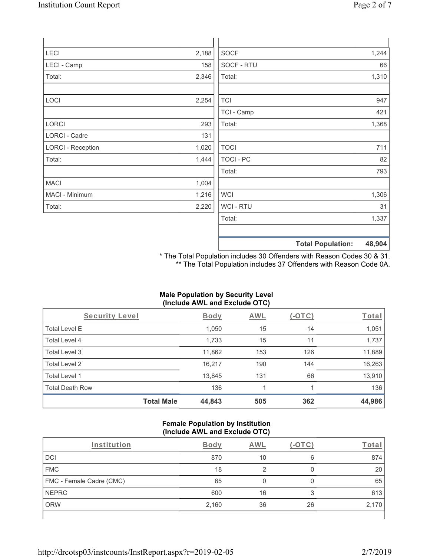| LECI                     | 2,188 | <b>SOCF</b> | 1,244 |
|--------------------------|-------|-------------|-------|
| LECI - Camp              | 158   | SOCF - RTU  | 66    |
| Total:                   | 2,346 | Total:      | 1,310 |
|                          |       |             |       |
| LOCI                     | 2,254 | <b>TCI</b>  | 947   |
|                          |       | TCI - Camp  | 421   |
| LORCI                    | 293   | Total:      | 1,368 |
| <b>LORCI - Cadre</b>     | 131   |             |       |
| <b>LORCI - Reception</b> | 1,020 | <b>TOCI</b> | 711   |
| Total:                   | 1,444 | TOCI - PC   | 82    |
|                          |       | Total:      | 793   |
| <b>MACI</b>              | 1,004 |             |       |
| MACI - Minimum           | 1,216 | <b>WCI</b>  | 1,306 |
| Total:                   | 2,220 | WCI - RTU   | 31    |
|                          |       | Total:      | 1,337 |
|                          |       |             |       |

**Total Population: 48,904**

\* The Total Population includes 30 Offenders with Reason Codes 30 & 31. \*\* The Total Population includes 37 Offenders with Reason Code 0A.

# **Male Population by Security Level (Include AWL and Exclude OTC)**

| Security Level         |                   | <b>Body</b> | AWL | (-OTC) | Total  |
|------------------------|-------------------|-------------|-----|--------|--------|
| <b>Total Level E</b>   |                   | 1,050       | 15  | 14     | 1,051  |
| Total Level 4          |                   | 1,733       | 15  | 11     | 1,737  |
| Total Level 3          |                   | 11,862      | 153 | 126    | 11,889 |
| Total Level 2          |                   | 16,217      | 190 | 144    | 16,263 |
| Total Level 1          |                   | 13,845      | 131 | 66     | 13,910 |
| <b>Total Death Row</b> |                   | 136         |     |        | 136    |
|                        | <b>Total Male</b> | 44,843      | 505 | 362    | 44,986 |

# **Female Population by Institution (Include AWL and Exclude OTC)**

| Institution              | <b>Body</b> | AWL |    | $\tau_{\text{O}tal}$ |
|--------------------------|-------------|-----|----|----------------------|
| DCI                      | 870         | 10  | 6  | 874                  |
| <b>FMC</b>               | 18          |     |    | 20                   |
| FMC - Female Cadre (CMC) | 65          |     | O  | 65                   |
| <b>NEPRC</b>             | 600         | 16  | 3  | 613                  |
| <b>ORW</b>               | 2,160       | 36  | 26 | 2,170                |
|                          |             |     |    |                      |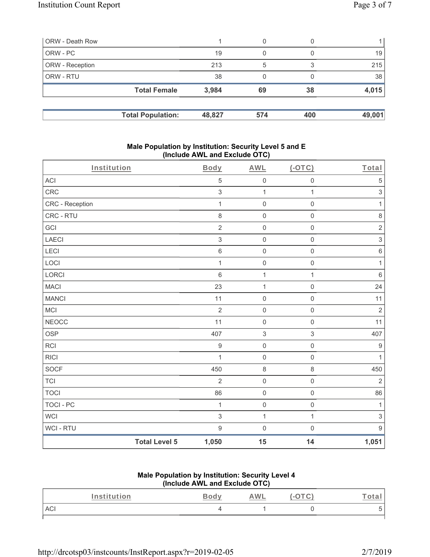| ORW - Death Row |                          |        | 0   |     |        |
|-----------------|--------------------------|--------|-----|-----|--------|
| ORW - PC        |                          | 19     | 0   |     | 19     |
| ORW - Reception |                          | 213    | 5   | 3   | 215    |
| ORW - RTU       |                          | 38     | 0   |     | 38     |
|                 | <b>Total Female</b>      | 3,984  | 69  | 38  | 4,015  |
|                 |                          |        |     |     |        |
|                 | <b>Total Population:</b> | 48,827 | 574 | 400 | 49,001 |

### **Male Population by Institution: Security Level 5 and E (Include AWL and Exclude OTC)**

| Institution      |                      | <b>Body</b>      | <b>AWL</b>          | $(-OTC)$            | Total                     |
|------------------|----------------------|------------------|---------------------|---------------------|---------------------------|
| ACI              |                      | $\mathbf 5$      | $\mathsf{O}\xspace$ | $\mathsf 0$         | $\mathbf 5$               |
| CRC              |                      | $\sqrt{3}$       | $\mathbf{1}$        | $\mathbf{1}$        | $\ensuremath{\mathsf{3}}$ |
| CRC - Reception  |                      | $\mathbf 1$      | $\mathsf{O}\xspace$ | $\mathbf 0$         | $\mathbf{1}$              |
| CRC - RTU        |                      | $\,8\,$          | $\mathsf{O}\xspace$ | $\mathsf 0$         | $\,8\,$                   |
| GCI              |                      | $\sqrt{2}$       | $\mathsf{O}\xspace$ | $\mathsf{O}\xspace$ | $\sqrt{2}$                |
| <b>LAECI</b>     |                      | $\sqrt{3}$       | $\mathsf{O}$        | $\mathsf{O}\xspace$ | $\mathsf 3$               |
| <b>LECI</b>      |                      | $\,6\,$          | $\mathsf{O}$        | $\mathsf{O}\xspace$ | $\,6\,$                   |
| LOCI             |                      | 1                | $\mathsf{O}$        | $\mathsf{O}\xspace$ | $\mathbf{1}$              |
| LORCI            |                      | $6\,$            | $\mathbf{1}$        | $\mathbf{1}$        | $\,6\,$                   |
| <b>MACI</b>      |                      | 23               | $\mathbf{1}$        | $\mathsf{O}\xspace$ | 24                        |
| <b>MANCI</b>     |                      | 11               | $\mathsf{O}\xspace$ | $\mathsf{O}\xspace$ | 11                        |
| MCI              |                      | $\overline{2}$   | $\mathsf{O}\xspace$ | $\mathbf 0$         | $\sqrt{2}$                |
| <b>NEOCC</b>     |                      | 11               | $\mathsf{O}\xspace$ | $\mathsf 0$         | 11                        |
| <b>OSP</b>       |                      | 407              | $\,$ 3 $\,$         | $\,$ 3 $\,$         | 407                       |
| <b>RCI</b>       |                      | $\boldsymbol{9}$ | $\mathsf{O}$        | $\mathsf{O}\xspace$ | $\boldsymbol{9}$          |
| <b>RICI</b>      |                      | 1                | $\mathsf{O}$        | $\mathsf 0$         | $\mathbf{1}$              |
| <b>SOCF</b>      |                      | 450              | $\,8\,$             | 8                   | 450                       |
| <b>TCI</b>       |                      | $\overline{2}$   | $\boldsymbol{0}$    | $\mathsf 0$         | $\overline{2}$            |
| <b>TOCI</b>      |                      | 86               | $\mathsf{O}\xspace$ | $\mathsf 0$         | 86                        |
| <b>TOCI - PC</b> |                      | $\mathbf{1}$     | $\mathsf{O}\xspace$ | $\mathsf{O}\xspace$ | $\mathbf{1}$              |
| <b>WCI</b>       |                      | $\sqrt{3}$       | $\mathbf{1}$        | $\mathbf{1}$        | $\,$ 3 $\,$               |
| WCI - RTU        |                      | $9\,$            | $\mathbf 0$         | $\mathsf{O}\xspace$ | $9\,$                     |
|                  | <b>Total Level 5</b> | 1,050            | 15                  | 14                  | 1,051                     |

# **Male Population by Institution: Security Level 4 (Include AWL and Exclude OTC)**

| Institution | $\sim$ | <b>AWL</b> | ota. |
|-------------|--------|------------|------|
| ACI         |        |            |      |

http://drcotsp03/instcounts/InstReport.aspx?r=2019-02-05 2/7/2019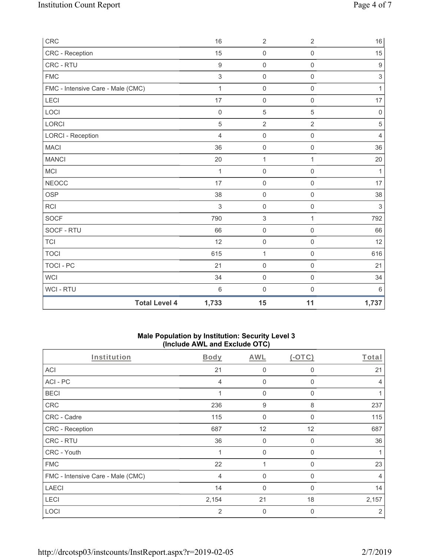| CRC                               | 16               | $\overline{2}$      | $\overline{2}$      | 16               |
|-----------------------------------|------------------|---------------------|---------------------|------------------|
| CRC - Reception                   | 15               | $\mathsf 0$         | $\mathsf 0$         | 15               |
| CRC - RTU                         | $\boldsymbol{9}$ | $\mathsf{O}\xspace$ | $\mathsf{O}\xspace$ | $\boldsymbol{9}$ |
| <b>FMC</b>                        | $\sqrt{3}$       | 0                   | $\mathsf{O}\xspace$ | $\sqrt{3}$       |
| FMC - Intensive Care - Male (CMC) | $\mathbf{1}$     | $\mathbf 0$         | $\mathsf 0$         | $\mathbf{1}$     |
| LECI                              | 17               | $\boldsymbol{0}$    | $\mathsf 0$         | 17               |
| LOCI                              | $\mathbf 0$      | $\sqrt{5}$          | 5                   | $\mathbf 0$      |
| LORCI                             | $\overline{5}$   | $\overline{2}$      | $\overline{2}$      | $\sqrt{5}$       |
| <b>LORCI - Reception</b>          | $\overline{4}$   | $\boldsymbol{0}$    | $\mathsf 0$         | $\overline{4}$   |
| <b>MACI</b>                       | 36               | $\mathsf{O}\xspace$ | $\mathsf 0$         | 36               |
| <b>MANCI</b>                      | 20               | $\mathbf{1}$        | 1                   | 20               |
| <b>MCI</b>                        | $\mathbf 1$      | $\mathsf{O}\xspace$ | $\mathbf 0$         | $\mathbf{1}$     |
| <b>NEOCC</b>                      | 17               | $\mathbf 0$         | $\mathbf 0$         | 17               |
| OSP                               | 38               | $\mathsf{O}\xspace$ | $\mathsf{O}\xspace$ | 38               |
| <b>RCI</b>                        | 3                | $\mathsf{O}\xspace$ | $\mathsf 0$         | 3                |
| <b>SOCF</b>                       | 790              | 3                   | 1                   | 792              |
| SOCF - RTU                        | 66               | $\mathsf{O}\xspace$ | $\mathbf 0$         | 66               |
| <b>TCI</b>                        | 12               | $\mathsf{O}\xspace$ | $\mathsf 0$         | 12               |
| <b>TOCI</b>                       | 615              | $\mathbf 1$         | 0                   | 616              |
| <b>TOCI - PC</b>                  | 21               | $\mathbf 0$         | $\mathsf 0$         | 21               |
| <b>WCI</b>                        | 34               | $\boldsymbol{0}$    | $\mathsf 0$         | 34               |
| WCI - RTU                         | $\,6$            | 0                   | $\mathsf 0$         | $\,6\,$          |
| <b>Total Level 4</b>              | 1,733            | 15                  | 11                  | 1,737            |

# **Male Population by Institution: Security Level 3 (Include AWL and Exclude OTC)**

| Institution                       | <b>Body</b>    | <b>AWL</b>   | $(-OTC)$ | Total |
|-----------------------------------|----------------|--------------|----------|-------|
| <b>ACI</b>                        | 21             | $\mathbf 0$  | 0        | 21    |
| ACI-PC                            | $\overline{4}$ | $\mathbf{0}$ | $\Omega$ | 4     |
| <b>BECI</b>                       |                | $\mathbf{0}$ | 0        |       |
| <b>CRC</b>                        | 236            | 9            | 8        | 237   |
| CRC - Cadre                       | 115            | $\mathbf{0}$ | $\Omega$ | 115   |
| CRC - Reception                   | 687            | 12           | 12       | 687   |
| CRC - RTU                         | 36             | $\mathbf 0$  | 0        | 36    |
| CRC - Youth                       | 1              | $\mathbf{0}$ | $\Omega$ |       |
| <b>FMC</b>                        | 22             |              | 0        | 23    |
| FMC - Intensive Care - Male (CMC) | $\overline{4}$ | $\mathbf 0$  | 0        | 4     |
| <b>LAECI</b>                      | 14             | $\mathbf{0}$ | $\Omega$ | 14    |
| <b>LECI</b>                       | 2,154          | 21           | 18       | 2,157 |
| LOCI                              | 2              | $\mathbf{0}$ | $\Omega$ | 2     |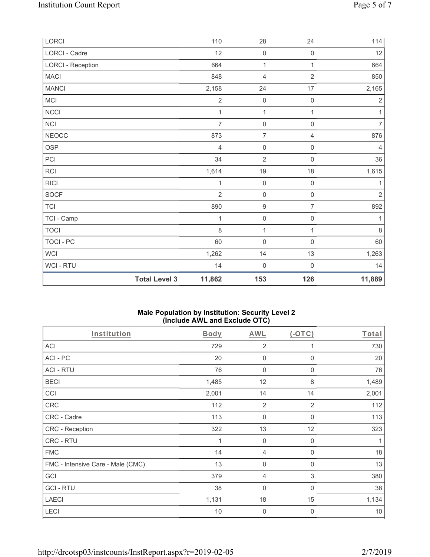|                          | <b>Total Level 3</b> | 11,862         | 153                 | 126                 | 11,889         |
|--------------------------|----------------------|----------------|---------------------|---------------------|----------------|
| WCI - RTU                |                      | 14             | $\mathsf{O}\xspace$ | $\boldsymbol{0}$    | 14             |
| <b>WCI</b>               |                      | 1,262          | 14                  | 13                  | 1,263          |
| TOCI - PC                |                      | 60             | $\mathsf{O}\xspace$ | $\mathsf{O}\xspace$ | 60             |
| <b>TOCI</b>              |                      | 8              | 1                   | 1                   | 8              |
| TCI - Camp               |                      | 1              | $\mathsf{O}\xspace$ | $\mathsf{O}\xspace$ | 1              |
| <b>TCI</b>               |                      | 890            | $\boldsymbol{9}$    | $\overline{7}$      | 892            |
| SOCF                     |                      | $\overline{2}$ | $\mathsf{O}\xspace$ | $\mathsf{O}\xspace$ | $\sqrt{2}$     |
| <b>RICI</b>              |                      | 1              | $\mathsf{O}\xspace$ | $\mathsf{O}\xspace$ | 1              |
| RCI                      |                      | 1,614          | $19$                | 18                  | 1,615          |
| PCI                      |                      | 34             | $\overline{2}$      | 0                   | 36             |
| OSP                      |                      | $\overline{4}$ | $\mathsf{O}\xspace$ | $\mathsf{O}\xspace$ | $\overline{4}$ |
| <b>NEOCC</b>             |                      | 873            | $\overline{7}$      | $\overline{4}$      | 876            |
| NCI                      |                      | $\overline{7}$ | $\mathsf{O}\xspace$ | $\mathsf{O}\xspace$ | $\overline{7}$ |
| <b>NCCI</b>              |                      | 1              | $\mathbf{1}$        | $\mathbf{1}$        | 1              |
| MCI                      |                      | $\mathbf 2$    | $\mathsf{O}\xspace$ | $\mathbf 0$         | $\sqrt{2}$     |
| <b>MANCI</b>             |                      | 2,158          | 24                  | 17                  | 2,165          |
| <b>MACI</b>              |                      | 848            | $\overline{4}$      | $\overline{2}$      | 850            |
| <b>LORCI - Reception</b> |                      | 664            | $\mathbf{1}$        | $\mathbf{1}$        | 664            |
| LORCI - Cadre            |                      | 12             | $\mathbf 0$         | $\mathsf{O}\xspace$ | 12             |
| LORCI                    |                      | 110            | 28                  | 24                  | 114            |

# **Male Population by Institution: Security Level 2 (Include AWL and Exclude OTC)**

| Institution                       | <b>Body</b> | <b>AWL</b>     | (OTC)          | Total |
|-----------------------------------|-------------|----------------|----------------|-------|
| <b>ACI</b>                        | 729         | $\overline{2}$ | 1              | 730   |
| ACI-PC                            | 20          | 0              | $\Omega$       | 20    |
| <b>ACI - RTU</b>                  | 76          | $\mathbf 0$    | 0              | 76    |
| <b>BECI</b>                       | 1,485       | 12             | 8              | 1,489 |
| CCI                               | 2,001       | 14             | 14             | 2,001 |
| CRC                               | 112         | $\overline{2}$ | $\overline{2}$ | 112   |
| CRC - Cadre                       | 113         | $\mathbf 0$    | $\mathbf 0$    | 113   |
| CRC - Reception                   | 322         | 13             | 12             | 323   |
| CRC - RTU                         | 1           | $\mathbf 0$    | 0              |       |
| <b>FMC</b>                        | 14          | 4              | $\mathbf 0$    | 18    |
| FMC - Intensive Care - Male (CMC) | 13          | $\mathbf 0$    | $\mathbf 0$    | 13    |
| GCI                               | 379         | 4              | 3              | 380   |
| <b>GCI-RTU</b>                    | 38          | $\mathbf{0}$   | $\mathbf 0$    | 38    |
| <b>LAECI</b>                      | 1,131       | 18             | 15             | 1,134 |
| LECI                              | 10          | $\mathbf 0$    | $\mathbf{0}$   | 10    |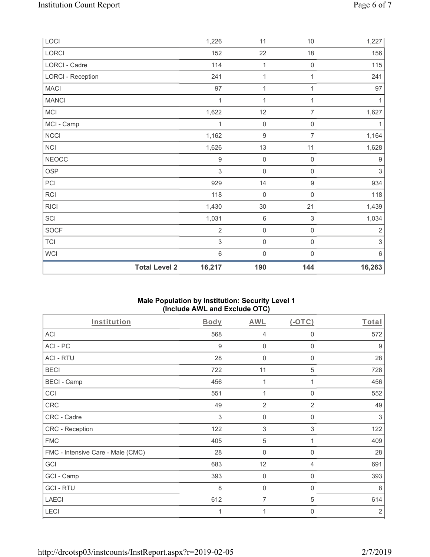| LOCI                     |                      | 1,226            | 11                  | 10                  | 1,227        |
|--------------------------|----------------------|------------------|---------------------|---------------------|--------------|
| LORCI                    |                      | 152              | 22                  | 18                  | 156          |
| LORCI - Cadre            |                      | 114              | $\mathbf{1}$        | $\mathbf 0$         | 115          |
| <b>LORCI - Reception</b> |                      | 241              | $\mathbf{1}$        | 1                   | 241          |
| <b>MACI</b>              |                      | 97               | $\mathbf{1}$        | 1                   | 97           |
| <b>MANCI</b>             |                      | 1                | 1                   | 1                   | $\mathbf{1}$ |
| MCI                      |                      | 1,622            | 12                  | $\overline{7}$      | 1,627        |
| MCI - Camp               |                      | 1                | $\mathsf{O}\xspace$ | $\mathsf{O}\xspace$ | 1            |
| NCCI                     |                      | 1,162            | $\boldsymbol{9}$    | $\overline{7}$      | 1,164        |
| NCI                      |                      | 1,626            | 13                  | 11                  | 1,628        |
| <b>NEOCC</b>             |                      | $\boldsymbol{9}$ | $\mathbf 0$         | $\mathsf{O}\xspace$ | 9            |
| OSP                      |                      | $\mathfrak{Z}$   | $\mathsf{O}\xspace$ | $\mathsf{O}\xspace$ | $\sqrt{3}$   |
| PCI                      |                      | 929              | 14                  | $\boldsymbol{9}$    | 934          |
| RCI                      |                      | 118              | $\mathsf 0$         | $\mathsf 0$         | 118          |
| <b>RICI</b>              |                      | 1,430            | $30\,$              | 21                  | 1,439        |
| SCI                      |                      | 1,031            | $\,6\,$             | $\mathfrak{S}$      | 1,034        |
| SOCF                     |                      | $\overline{2}$   | $\mathsf{O}\xspace$ | $\mathsf{O}\xspace$ | $\sqrt{2}$   |
| TCI                      |                      | $\sqrt{3}$       | $\mathsf{O}\xspace$ | $\mathsf{O}\xspace$ | $\sqrt{3}$   |
| WCI                      |                      | $6\,$            | $\mathsf{O}\xspace$ | $\mathsf{O}\xspace$ | $6\,$        |
|                          | <b>Total Level 2</b> | 16,217           | 190                 | 144                 | 16,263       |

# **Male Population by Institution: Security Level 1 (Include AWL and Exclude OTC)**

| Institution                       | <b>Body</b> | <b>AWL</b>                | $(-OTC)$                  | Total          |
|-----------------------------------|-------------|---------------------------|---------------------------|----------------|
| <b>ACI</b>                        | 568         | 4                         | 0                         | 572            |
| ACI-PC                            | 9           | $\mathbf 0$               | $\mathbf 0$               | 9              |
| <b>ACI - RTU</b>                  | 28          | 0                         | 0                         | 28             |
| <b>BECI</b>                       | 722         | 11                        | 5                         | 728            |
| <b>BECI - Camp</b>                | 456         | 1                         | 1                         | 456            |
| CCI                               | 551         | 1                         | 0                         | 552            |
| <b>CRC</b>                        | 49          | $\overline{2}$            | 2                         | 49             |
| CRC - Cadre                       | 3           | $\mathbf 0$               | $\mathbf 0$               | 3              |
| CRC - Reception                   | 122         | $\ensuremath{\mathsf{3}}$ | $\ensuremath{\mathsf{3}}$ | 122            |
| <b>FMC</b>                        | 405         | $\sqrt{5}$                | 1                         | 409            |
| FMC - Intensive Care - Male (CMC) | 28          | 0                         | 0                         | 28             |
| GCI                               | 683         | 12                        | 4                         | 691            |
| GCI - Camp                        | 393         | $\mathbf 0$               | $\mathbf 0$               | 393            |
| <b>GCI-RTU</b>                    | 8           | $\mathbf{0}$              | 0                         | 8              |
| <b>LAECI</b>                      | 612         | $\overline{7}$            | 5                         | 614            |
| LECI                              | 1           | 1                         | 0                         | $\overline{2}$ |